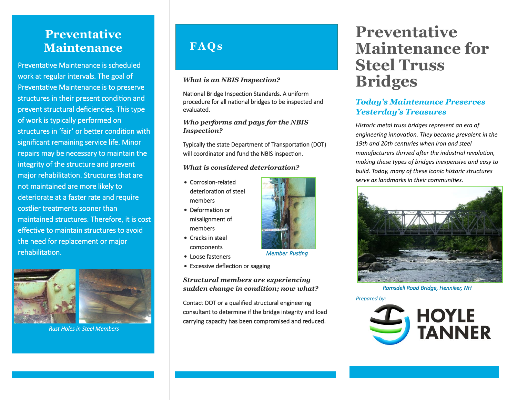# **Preventative Maintenance**

Preventative Maintenance is scheduled work at regular intervals. The goal of Preventative Maintenance is to preserve structures in their present condition and prevent structural deficiencies. This type of work is typically performed on structures in 'fair' or better condition with significant remaining service life. Minor repairs may be necessary to maintain the integrity of the structure and prevent major rehabilitation. Structures that are not maintained are more likely to deteriorate at a faster rate and require costlier treatments sooner than maintained structures. Therefore, it is cost effective to maintain structures to avoid the need for replacement or major rehabilitation.



*Rust Holes in Steel Members* 

# **FA Qs**

*What is an NBIS Inspection?*

National Bridge Inspection Standards. A uniform procedure for all national bridges to be inspected and evaluated.

*Who performs and pays for the NBIS Inspection?*

Typically the state Department of Transportation (DOT) will coordinator and fund the NBIS inspection.

*What is considered deterioration?*

- Corrosion-related deterioration of steel members
- Deformation or misalignment of members
- Cracks in steel components
- Loose fasteners
- Excessive deflection or sagging

*Structural members are experiencing sudden change in condition; now what?*

Contact DOT or a qualified structural engineering consultant to determine if the bridge integrity and load carrying capacity has been compromised and reduced.

# **Preventative Maintenance for Steel Truss Bridges**

#### *Today's Maintenance Preserves Yesterday's Treasures*

*Historic metal truss bridges represent an era of engineering innovation. They became prevalent in the 19th and 20th centuries when iron and steel manufacturers thrived after the industrial revolution, making these types of bridges inexpensive and easy to build. Today, many of these iconic historic structures serve as landmarks in their communities.*



*Ramsdell Road Bridge, Henniker, NH* 

*Prepared by:*